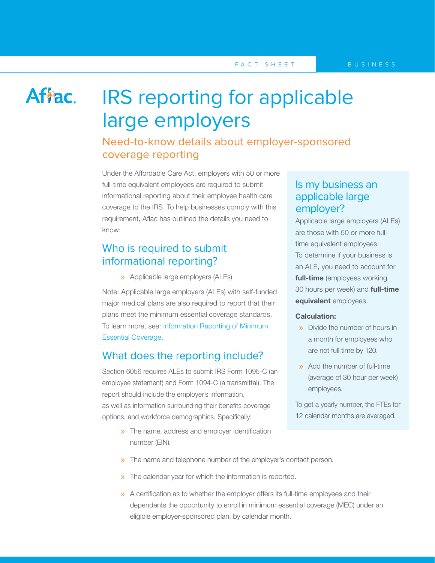## Affac.

# IRS reporting for applicable large employers

## Need-to-know details about employer-sponsored coverage reporting

Under the Affordable Care Act, employers with 50 or more full-time equivalent employees are required to submit informational reporting about their employee health care coverage to the IRS. To help businesses comply with this requirement, Aflac has outlined the details you need to know:

## Who is required to submit informational reporting?

» Applicable large employers (ALEs)

Note: Applicable large employers (ALEs) with self-funded major medical plans are also required to report that their plans meet the minimum essential coverage standards. To learn more, see: [Information Reporting of Minimum](http://www.aflac.com/healthcare_reform/articles/need_to_know__minimum_essentials.aspx)  [Essential Coverage](http://www.aflac.com/healthcare_reform/articles/need_to_know__minimum_essentials.aspx).

## What does the reporting include?

Section 6056 requires ALEs to submit IRS Form 1095-C (an employee statement) and Form 1094-C (a transmittal). The report should include the employer's information, as well as information surrounding their benefits coverage options, and workforce demographics. Specifically:

> » The name, address and employer identification number (EIN).

## Is my business an applicable large employer?

Applicable large employers (ALEs) are those with 50 or more fulltime equivalent employees. To determine if your business is an ALE, you need to account for full-time (employees working 30 hours per week) and **full-time** equivalent employees.

#### Calculation:

- » Divide the number of hours in a month for employees who are not full time by 120.
- » Add the number of full-time (average of 30 hour per week) employees.

To get a yearly number, the FTEs for 12 calendar months are averaged.

- » The name and telephone number of the employer's contact person.
- » The calendar year for which the information is reported.
- » A certification as to whether the employer offers its full-time employees and their dependents the opportunity to enroll in minimum essential coverage (MEC) under an eligible employer-sponsored plan, by calendar month.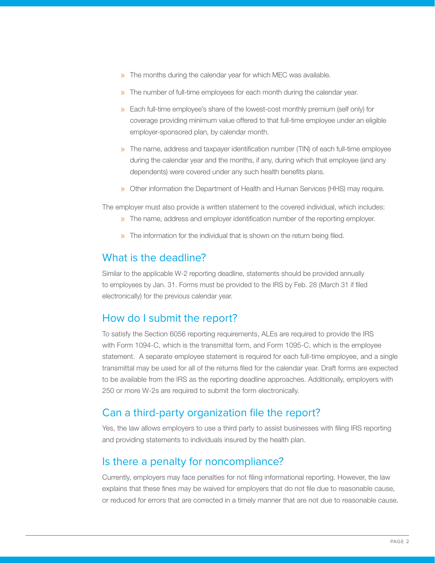- » The months during the calendar year for which MEC was available.
- » The number of full-time employees for each month during the calendar year.
- » Each full-time employee's share of the lowest-cost monthly premium (self only) for coverage providing minimum value offered to that full-time employee under an eligible employer-sponsored plan, by calendar month.
- » The name, address and taxpayer identification number (TIN) of each full-time employee during the calendar year and the months, if any, during which that employee (and any dependents) were covered under any such health benefits plans.
- » Other information the Department of Health and Human Services (HHS) may require.

The employer must also provide a written statement to the covered individual, which includes:

- » The name, address and employer identification number of the reporting employer.
- » The information for the individual that is shown on the return being filed.

## What is the deadline?

Similar to the applicable W-2 reporting deadline, statements should be provided annually to employees by Jan. 31. Forms must be provided to the IRS by Feb. 28 (March 31 if filed electronically) for the previous calendar year.

## How do I submit the report?

To satisfy the Section 6056 reporting requirements, ALEs are required to provide the IRS with Form 1094-C, which is the transmittal form, and Form 1095-C, which is the employee statement. A separate employee statement is required for each full-time employee, and a single transmittal may be used for all of the returns filed for the calendar year. Draft forms are expected to be available from the IRS as the reporting deadline approaches. Additionally, employers with 250 or more W-2s are required to submit the form electronically.

## Can a third-party organization file the report?

Yes, the law allows employers to use a third party to assist businesses with filing IRS reporting and providing statements to individuals insured by the health plan.

### Is there a penalty for noncompliance?

Currently, employers may face penalties for not filing informational reporting. However, the law explains that these fines may be waived for employers that do not file due to reasonable cause, or reduced for errors that are corrected in a timely manner that are not due to reasonable cause.